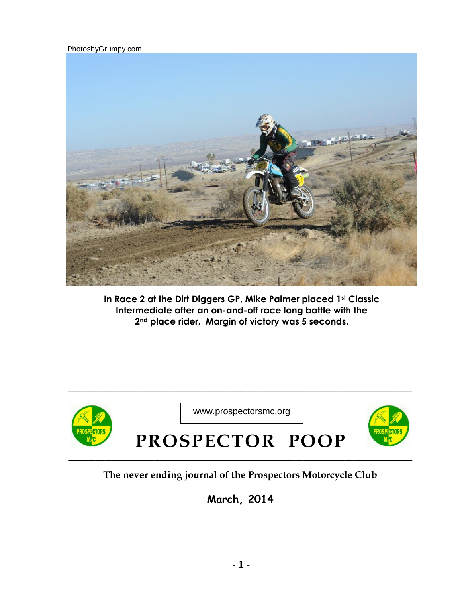PhotosbyGrumpy.com



**In Race 2 at the Dirt Diggers GP, Mike Palmer placed 1st Classic Intermediate after an on-and-off race long battle with the 2nd place rider. Margin of victory was 5 seconds.** 



**\_\_\_\_\_\_\_\_\_\_\_\_\_\_\_\_\_\_\_\_\_\_\_\_\_\_\_\_\_\_\_\_\_\_\_\_\_\_\_\_\_\_\_\_\_\_\_\_\_\_\_\_\_\_\_\_\_\_\_\_\_\_\_\_\_\_\_\_\_\_\_\_\_\_\_\_**

# **The never ending journal of the Prospectors Motorcycle Club**

**March, 2014**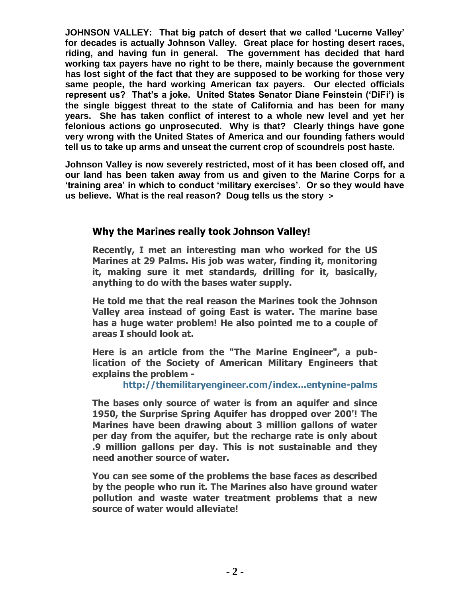**JOHNSON VALLEY: That big patch of desert that we called 'Lucerne Valley' for decades is actually Johnson Valley. Great place for hosting desert races, riding, and having fun in general. The government has decided that hard working tax payers have no right to be there, mainly because the government has lost sight of the fact that they are supposed to be working for those very same people, the hard working American tax payers. Our elected officials represent us? That's a joke. United States Senator Diane Feinstein ('DiFi') is the single biggest threat to the state of California and has been for many years. She has taken conflict of interest to a whole new level and yet her felonious actions go unprosecuted. Why is that? Clearly things have gone very wrong with the United States of America and our founding fathers would tell us to take up arms and unseat the current crop of scoundrels post haste.** 

**Johnson Valley is now severely restricted, most of it has been closed off, and our land has been taken away from us and given to the Marine Corps for a 'training area' in which to conduct 'military exercises'. Or so they would have us believe. What is the real reason? Doug tells us the story >** 

### **Why the Marines really took Johnson Valley!**

**Recently, I met an interesting man who worked for the US Marines at 29 Palms. His job was water, finding it, monitoring it, making sure it met standards, drilling for it, basically, anything to do with the bases water supply.** 

**He told me that the real reason the Marines took the Johnson Valley area instead of going East is water. The marine base has a huge water problem! He also pointed me to a couple of areas I should look at.** 

**Here is an article from the "The Marine Engineer", a publication of the Society of American Military Engineers that explains the problem -**

#### **[http://themilitaryengineer.com/index...entynine-palms](http://themilitaryengineer.com/index.php/tme-articles/tme-magazine-online/item/269-water-management-at-twentynine-palms)**

**The bases only source of water is from an aquifer and since 1950, the Surprise Spring Aquifer has dropped over 200'! The Marines have been drawing about 3 million gallons of water per day from the aquifer, but the recharge rate is only about .9 million gallons per day. This is not sustainable and they need another source of water.** 

**You can see some of the problems the base faces as described by the people who run it. The Marines also have ground water pollution and waste water treatment problems that a new source of water would alleviate!**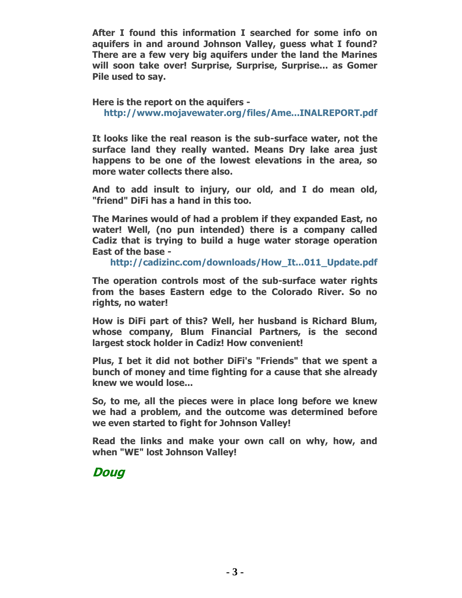**After I found this information I searched for some info on aquifers in and around Johnson Valley, guess what I found? There are a few very big aquifers under the land the Marines will soon take over! Surprise, Surprise, Surprise... as Gomer Pile used to say.**

**Here is the report on the aquifers [http://www.mojavewater.org/files/Ame...INALREPORT.pdf](http://www.mojavewater.org/files/AmesMeansJV_BCM_FINALREPORT.pdf)**

**It looks like the real reason is the sub-surface water, not the surface land they really wanted. Means Dry lake area just happens to be one of the lowest elevations in the area, so more water collects there also.**

**And to add insult to injury, our old, and I do mean old, "friend" DiFi has a hand in this too.** 

**The Marines would of had a problem if they expanded East, no water! Well, (no pun intended) there is a company called Cadiz that is trying to build a huge water storage operation East of the base -**

**[http://cadizinc.com/downloads/How\\_It...011\\_Update.pdf](http://cadizinc.com/downloads/How_It_Works_2011_Update.pdf)**

**The operation controls most of the sub-surface water rights from the bases Eastern edge to the Colorado River. So no rights, no water!**

**How is DiFi part of this? Well, her husband is Richard Blum, whose company, Blum Financial Partners, is the second largest stock holder in Cadiz! How convenient!** 

**Plus, I bet it did not bother DiFi's "Friends" that we spent a bunch of money and time fighting for a cause that she already knew we would lose...**

**So, to me, all the pieces were in place long before we knew we had a problem, and the outcome was determined before we even started to fight for Johnson Valley!**

**Read the links and make your own call on why, how, and when "WE" lost Johnson Valley!**

**Doug**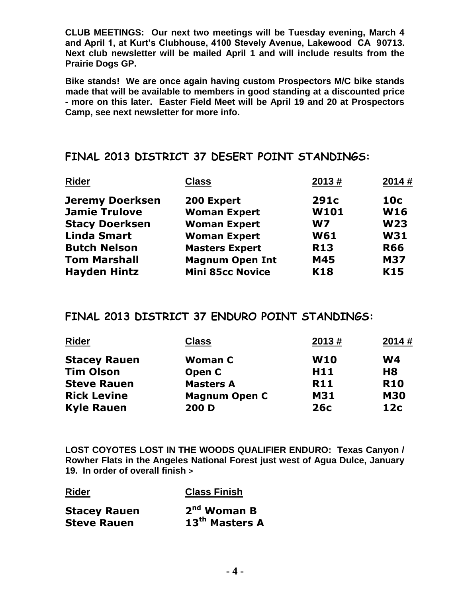**CLUB MEETINGS: Our next two meetings will be Tuesday evening, March 4 and April 1, at Kurt's Clubhouse, 4100 Stevely Avenue, Lakewood CA 90713. Next club newsletter will be mailed April 1 and will include results from the Prairie Dogs GP.** 

**Bike stands! We are once again having custom Prospectors M/C bike stands made that will be available to members in good standing at a discounted price - more on this later. Easter Field Meet will be April 19 and 20 at Prospectors Camp, see next newsletter for more info.** 

## **FINAL 2013 DISTRICT 37 DESERT POINT STANDINGS:**

| <b>Rider</b>           | <b>Class</b>            | 2013#          | 2014#      |
|------------------------|-------------------------|----------------|------------|
| <b>Jeremy Doerksen</b> | 200 Expert              | 291c           | 10c        |
| <b>Jamie Trulove</b>   | <b>Woman Expert</b>     | W101           | <b>W16</b> |
| <b>Stacy Doerksen</b>  | <b>Woman Expert</b>     | W <sub>7</sub> | <b>W23</b> |
| <b>Linda Smart</b>     | <b>Woman Expert</b>     | <b>W61</b>     | <b>W31</b> |
| <b>Butch Nelson</b>    | <b>Masters Expert</b>   | <b>R13</b>     | <b>R66</b> |
| <b>Tom Marshall</b>    | <b>Magnum Open Int</b>  | M45            | <b>M37</b> |
| <b>Hayden Hintz</b>    | <b>Mini 85cc Novice</b> | <b>K18</b>     | K15        |
|                        |                         |                |            |

### **FINAL 2013 DISTRICT 37 ENDURO POINT STANDINGS:**

| <b>Class</b>         | 2013#           | 2014#           |
|----------------------|-----------------|-----------------|
| <b>Woman C</b>       | <b>W10</b>      | W4              |
| Open C               | H <sub>11</sub> | H <sub>8</sub>  |
| <b>Masters A</b>     | <b>R11</b>      | <b>R10</b>      |
| <b>Magnum Open C</b> | <b>M31</b>      | <b>M30</b>      |
| 200 D                | 26c             | 12 <sub>c</sub> |
|                      |                 |                 |

**LOST COYOTES LOST IN THE WOODS QUALIFIER ENDURO: Texas Canyon / Rowher Flats in the Angeles National Forest just west of Agua Dulce, January 19. In order of overall finish >** 

**Rider Class Finish**

| <b>Stacey Rauen</b> | $2nd$ Woman B              |
|---------------------|----------------------------|
| <b>Steve Rauen</b>  | 13 <sup>th</sup> Masters A |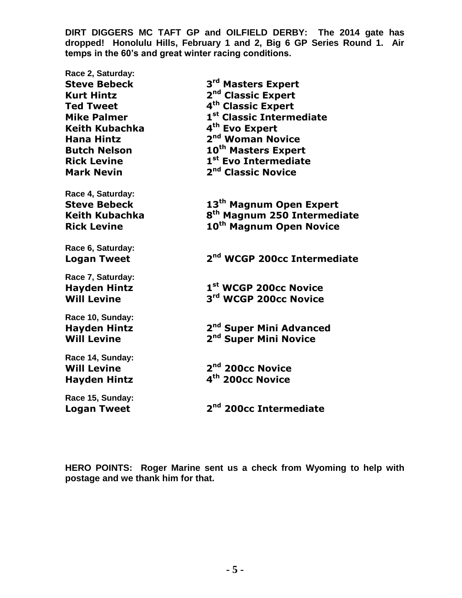**DIRT DIGGERS MC TAFT GP and OILFIELD DERBY: The 2014 gate has dropped! Honolulu Hills, February 1 and 2, Big 6 GP Series Round 1. Air temps in the 60's and great winter racing conditions.** 

**Race 2, Saturday: Steve Bebeck 3 rd Masters Expert Kurt Hintz 2 nd Classic Expert Ted Tweet 4 th Classic Expert Mike Palmer 1 st Classic Intermediate Keith Kubachka 4 th Evo Expert Hana Hintz 2 nd Woman Novice Butch Nelson 10th Masters Expert Rick Levine 1 st Evo Intermediate Mark Nevin 2 nd Classic Novice Race 4, Saturday: Steve Bebeck 13th Magnum Open Expert Keith Kubachka 8 th Magnum 250 Intermediate Rick Levine 10th Magnum Open Novice Race 6, Saturday: Logan Tweet 2 nd WCGP 200cc Intermediate Race 7, Saturday: Hayden Hintz 1 st WCGP 200cc Novice Will Levine rd WCGP 200cc Novice Race 10, Sunday: Hayden Hintz 2 nd Super Mini Advanced Will Levine nd Super Mini Novice Race 14, Sunday: Will Levine nd 200cc Novice Hayden Hintz 4 th 200cc Novice Race 15, Sunday: Logan Tweet 2 nd 200cc Intermediate** 

**HERO POINTS: Roger Marine sent us a check from Wyoming to help with postage and we thank him for that.**